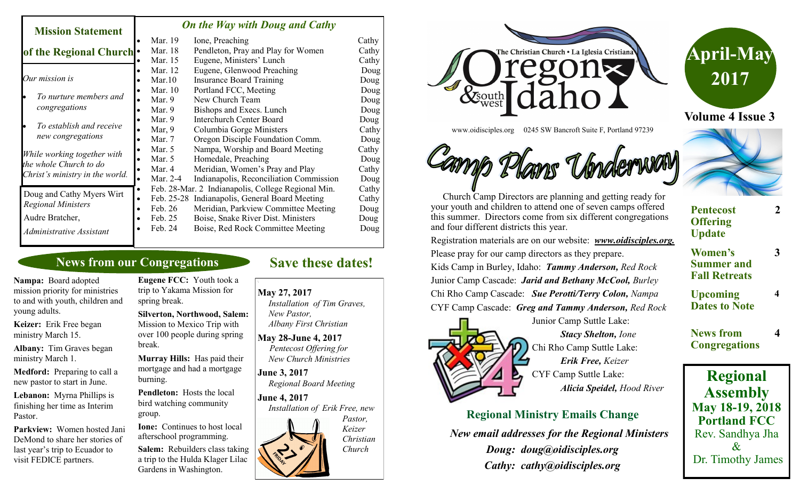#### *On the Way with Doug and Cathy*

| NISSIOIL SRUGHUHU                                                                        |           |          |                                                    |       |
|------------------------------------------------------------------------------------------|-----------|----------|----------------------------------------------------|-------|
|                                                                                          |           | Mar. 19  | Ione, Preaching                                    | Cathy |
| of the Regional Church .                                                                 |           | Mar. 18  | Pendleton, Pray and Play for Women                 | Cathy |
|                                                                                          |           | Mar. 15  | Eugene, Ministers' Lunch                           | Cathy |
| Our mission is                                                                           |           | Mar. 12  | Eugene, Glenwood Preaching                         | Doug  |
|                                                                                          |           | Mar.10   | <b>Insurance Board Training</b>                    | Doug  |
| To nurture members and<br>congregations                                                  |           | Mar. 10  | Portland FCC, Meeting                              | Doug  |
|                                                                                          |           | Mar. $9$ | New Church Team                                    | Doug  |
|                                                                                          |           | Mar. $9$ | Bishops and Execs. Lunch                           | Doug  |
| To establish and receive<br>new congregations                                            |           | Mar. $9$ | <b>Interchurch Center Board</b>                    | Doug  |
|                                                                                          |           | Mar, $9$ | Columbia Gorge Ministers                           | Cathy |
|                                                                                          |           | Mar. 7   | Oregon Disciple Foundation Comm.                   | Doug  |
| While working together with<br>the whole Church to do<br>Christ's ministry in the world. |           | Mar. $5$ | Nampa, Worship and Board Meeting                   | Cathy |
|                                                                                          |           | Mar. 5   | Homedale, Preaching                                | Doug  |
|                                                                                          |           | Mar. 4   | Meridian, Women's Pray and Play                    | Cathy |
|                                                                                          |           | Mar. 2-4 | Indianapolis, Reconciliation Commission            | Doug  |
| Doug and Cathy Myers Wirt<br><b>Regional Ministers</b>                                   | $\bullet$ |          | Feb. 28-Mar. 2 Indianapolis, College Regional Min. | Cathy |
|                                                                                          |           |          | Feb. 25-28 Indianapolis, General Board Meeting     | Cathy |
|                                                                                          | $\bullet$ | Feb. 26  | Meridian, Parkview Committee Meeting               | Doug  |
| Audre Bratcher,                                                                          | $\bullet$ | Feb. 25  | Boise, Snake River Dist. Ministers                 | Doug  |
| Administrative Assistant                                                                 |           | Feb. 24  | Boise, Red Rock Committee Meeting                  | Doug  |

## **News from our Congregations**

**Nampa:** Board adopted mission priority for ministries to and with youth, children and young adults.

**Mission Statement** 

**Keizer:** Erik Free began ministry March 15.

**Albany:** Tim Graves began ministry March 1.

**Medford:** Preparing to call a new pastor to start in June.

**Lebanon:** Myrna Phillips is finishing her time as Interim Pastor.

**Parkview:** Women hosted Jani DeMond to share her stories of last year's trip to Ecuador to visit FEDICE partners.

**Eugene FCC:** Youth took a trip to Yakama Mission for spring break.

**Silverton, Northwood, Salem:**  Mission to Mexico Trip with over 100 people during spring break.

**Murray Hills:** Has paid their mortgage and had a mortgage burning.

**Pendleton:** Hosts the local bird watching community group.

**Ione:** Continues to host local afterschool programming.

**Salem:** Rebuilders class taking a trip to the Hulda Klager Lilac Gardens in Washington.

# **Save these dates!**

**May 27, 2017**  *Installation of Tim Graves,* 

 *New Pastor, Albany First Christian*

**May 28-June 4, 2017** *Pentecost Offering for New Church Ministries*

**June 3, 2017**  *Regional Board Meeting*

**June 4, 2017**  *Installation of Erik Free, new Pastor, Keizer Christian Church*





**Volume 4 Issue 3**



www.oidisciples.org 0245 SW Bancroft Suite F, Portland 97239

 Church Camp Directors are planning and getting ready for your youth and children to attend one of seven camps offered this summer. Directors come from six different congregations and four different districts this year.

Registration materials are on our website: *www.oidisciples.org.*  Please pray for our camp directors as they prepare.

Kids Camp in Burley, Idaho: *Tammy Anderson, Red Rock* Junior Camp Cascade: *Jarid and Bethany McCool, Burley* Chi Rho Camp Cascade: *Sue Perotti/Terry Colon, Nampa* CYF Camp Cascade: *Greg and Tammy Anderson, Red Rock*



Junior Camp Suttle Lake: *Stacy Shelton, Ione* Chi Rho Camp Suttle Lake: *Erik Free, Keizer* CYF Camp Suttle Lake: *Alicia Speidel, Hood River*

**Regional Ministry Emails Change** 

 *New email addresses for the Regional Ministers Doug: doug@oidisciples.org Cathy: cathy@oidisciples.org*



**Regional Assembly May 18-19, 2018 Portland FCC** Rev. Sandhya Jha & Dr. Timothy James